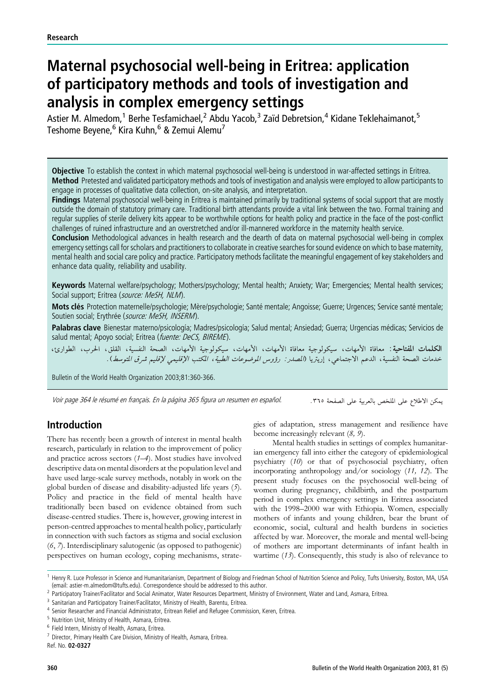# Maternal psychosocial well-being in Eritrea: application of participatory methods and tools of investigation and analysis in complex emergency settings

Astier M. Almedom,<sup>1</sup> Berhe Tesfamichael,<sup>2</sup> Abdu Yacob,<sup>3</sup> Zaïd Debretsion,<sup>4</sup> Kidane Teklehaimanot,<sup>5</sup> Teshome Beyene,<sup>6</sup> Kira Kuhn,<sup>6</sup> & Zemui Alemu<sup>7</sup>

Objective To establish the context in which maternal psychosocial well-being is understood in war-affected settings in Eritrea. Method Pretested and validated participatory methods and tools of investigation and analysis were employed to allow participants to engage in processes of qualitative data collection, on-site analysis, and interpretation.

Findings Maternal psychosocial well-being in Eritrea is maintained primarily by traditional systems of social support that are mostly outside the domain of statutory primary care. Traditional birth attendants provide a vital link between the two. Formal training and regular supplies of sterile delivery kits appear to be worthwhile options for health policy and practice in the face of the post-conflict challenges of ruined infrastructure and an overstretched and/or ill-mannered workforce in the maternity health service.

Conclusion Methodological advances in health research and the dearth of data on maternal psychosocial well-being in complex emergency settings call for scholars and practitioners to collaborate in creative searches for sound evidence on which to base maternity, mental health and social care policy and practice. Participatory methods facilitate the meaningful engagement of key stakeholders and enhance data quality, reliability and usability.

Keywords Maternal welfare/psychology; Mothers/psychology; Mental health; Anxiety; War; Emergencies; Mental health services; Social support; Eritrea (source: MeSH, NLM).

Mots clés Protection maternelle/psychologie; Mère/psychologie; Santé mentale; Angoisse; Guerre; Urgences; Service santé mentale; Soutien social; Erythrée (source: MeSH, INSERM).

Palabras clave Bienestar materno/psicología; Madres/psicología; Salud mental; Ansiedad; Guerra; Urgencias médicas; Servicios de salud mental; Apoyo social; Eritrea (fuente: DeCS, BIREME).

الكلمات المفتاحية: معافاة الأمهات، سيكولوجية معافاة الأمهات، الأمهات، سيكولوجية الأمهات، الصحة النفسية، القلق، الحرب، الطوارئ، خدمات الصحة النفسية، الدعم الاجتماعي، إريَّريا (*المصدر : رؤوس الموضوعات الطبية، المكتب الإقليمي لإقليم شرق المتوسط*).

Bulletin of the World Health Organization 2003;81:360-366.

Voir page 364 le résumé en français. En la página 365 figura un resumen en español.

يمكن الاطلاع على الملخص بالعربية على الصفحة ٣٦٥.

# Introduction

There has recently been a growth of interest in mental health research, particularly in relation to the improvement of policy and practice across sectors (1–4). Most studies have involved descriptive data on mental disorders at the population level and have used large-scale survey methods, notably in work on the global burden of disease and disability-adjusted life years (5). Policy and practice in the field of mental health have traditionally been based on evidence obtained from such disease-centred studies. There is, however, growing interest in person-centred approaches to mental health policy, particularly in connection with such factors as stigma and social exclusion (6, 7). Interdisciplinary salutogenic (as opposed to pathogenic) perspectives on human ecology, coping mechanisms, strategies of adaptation, stress management and resilience have become increasingly relevant (8, 9).

Mental health studies in settings of complex humanitarian emergency fall into either the category of epidemiological psychiatry (10) or that of psychosocial psychiatry, often incorporating anthropology and/or sociology (11, 12). The present study focuses on the psychosocial well-being of women during pregnancy, childbirth, and the postpartum period in complex emergency settings in Eritrea associated with the 1998–2000 war with Ethiopia. Women, especially mothers of infants and young children, bear the brunt of economic, social, cultural and health burdens in societies affected by war. Moreover, the morale and mental well-being of mothers are important determinants of infant health in wartime  $(13)$ . Consequently, this study is also of relevance to

Ref. No. 02-0327

<sup>&</sup>lt;sup>1</sup> Henry R. Luce Professor in Science and Humanitarianism, Department of Biology and Friedman School of Nutrition Science and Policy, Tufts University, Boston, MA, USA (email: astier-m.almedom@tufts.edu). Correspondence should be addressed to this author.

<sup>&</sup>lt;sup>2</sup> Participatory Trainer/Facilitator and Social Animator, Water Resources Department, Ministry of Environment, Water and Land, Asmara, Eritrea.

<sup>&</sup>lt;sup>3</sup> Sanitarian and Participatory Trainer/Facilitator, Ministry of Health, Barentu, Eritrea.

<sup>4</sup> Senior Researcher and Financial Administrator, Eritrean Relief and Refugee Commission, Keren, Eritrea.

<sup>5</sup> Nutrition Unit, Ministry of Health, Asmara, Eritrea.

<sup>6</sup> Field Intern, Ministry of Health, Asmara, Eritrea.

 $7$  Director, Primary Health Care Division, Ministry of Health, Asmara, Eritrea.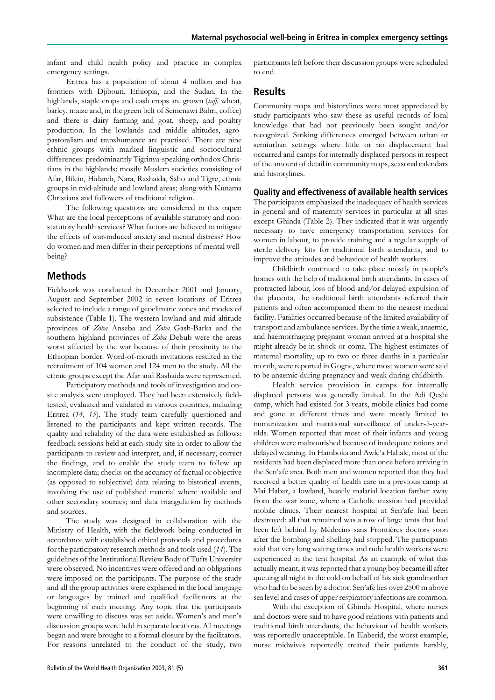infant and child health policy and practice in complex emergency settings.

Eritrea has a population of about 4 million and has frontiers with Djibouti, Ethiopia, and the Sudan. In the highlands, staple crops and cash crops are grown (taff, wheat, barley, maize and, in the green belt of Semenawi Bahri, coffee) and there is dairy farming and goat, sheep, and poultry production. In the lowlands and middle altitudes, agropastoralism and transhumance are practised. There are nine ethnic groups with marked linguistic and sociocultural differences: predominantly Tigrinya-speaking orthodox Christians in the highlands; mostly Moslem societies consisting of Afar, Bilein, Hidareb, Nara, Rashaida, Saho and Tigre, ethnic groups in mid-altitude and lowland areas; along with Kunama Christians and followers of traditional religion.

The following questions are considered in this paper: What are the local perceptions of available statutory and nonstatutory health services? What factors are believed to mitigate the effects of war-induced anxiety and mental distress? How do women and men differ in their perceptions of mental wellbeing?

# Methods

Fieldwork was conducted in December 2001 and January, August and September 2002 in seven locations of Eritrea selected to include a range of geoclimatic zones and modes of subsistence (Table 1). The western lowland and mid-altitude provinces of Zoba Anseba and Zoba Gash-Barka and the southern highland provinces of Zoba Debub were the areas worst affected by the war because of their proximity to the Ethiopian border. Word-of-mouth invitations resulted in the recruitment of 104 women and 124 men to the study. All the ethnic groups except the Afar and Rashaida were represented.

Participatory methods and tools of investigation and onsite analysis were employed. They had been extensively fieldtested, evaluated and validated in various countries, including Eritrea (14, 15). The study team carefully questioned and listened to the participants and kept written records. The quality and reliability of the data were established as follows: feedback sessions held at each study site in order to allow the participants to review and interpret, and, if necessary, correct the findings, and to enable the study team to follow up incomplete data; checks on the accuracy of factual or objective (as opposed to subjective) data relating to historical events, involving the use of published material where available and other secondary sources; and data triangulation by methods and sources.

The study was designed in collaboration with the Ministry of Health, with the fieldwork being conducted in accordance with established ethical protocols and procedures for the participatory research methods and tools used (14). The guidelines of the Institutional Review Body of Tufts University were observed. No incentives were offered and no obligations were imposed on the participants. The purpose of the study and all the group activities were explained in the local language or languages by trained and qualified facilitators at the beginning of each meeting. Any topic that the participants were unwilling to discuss was set aside. Women's and men's discussion groups were held in separate locations. All meetings began and were brought to a formal closure by the facilitators. For reasons unrelated to the conduct of the study, two participants left before their discussion groups were scheduled to end.

## Results

Community maps and historylines were most appreciated by study participants who saw these as useful records of local knowledge that had not previously been sought and/or recognized. Striking differences emerged between urban or semiurban settings where little or no displacement had occurred and camps for internally displaced persons in respect of the amount of detail in community maps, seasonal calendars and historylines.

#### Quality and effectiveness of available health services

The participants emphasized the inadequacy of health services in general and of maternity services in particular at all sites except Ghinda (Table 2). They indicated that it was urgently necessary to have emergency transportation services for women in labour, to provide training and a regular supply of sterile delivery kits for traditional birth attendants, and to improve the attitudes and behaviour of health workers.

Childbirth continued to take place mostly in people's homes with the help of traditional birth attendants. In cases of protracted labour, loss of blood and/or delayed expulsion of the placenta, the traditional birth attendants referred their patients and often accompanied them to the nearest medical facility. Fatalities occurred because of the limited availability of transport and ambulance services. By the time a weak, anaemic, and haemorrhaging pregnant woman arrived at a hospital she might already be in shock or coma. The highest estimates of maternal mortality, up to two or three deaths in a particular month, were reported in Gogne, where most women were said to be anaemic during pregnancy and weak during childbirth.

Health service provision in camps for internally displaced persons was generally limited. In the Adi Qeshi camp, which had existed for 3 years, mobile clinics had come and gone at different times and were mostly limited to immunization and nutritional surveillance of under-5-yearolds. Women reported that most of their infants and young children were malnourished because of inadequate rations and delayed weaning. In Hamboka and Awle'a Hahale, most of the residents had been displaced more than once before arriving in the Sen'afe area. Both men and women reported that they had received a better quality of health care in a previous camp at Mai Habar, a lowland, heavily malarial location farther away from the war zone, where a Catholic mission had provided mobile clinics. Their nearest hospital at Sen'afe had been destroyed: all that remained was a row of large tents that had been left behind by Médecins sans Frontières doctors soon after the bombing and shelling had stopped. The participants said that very long waiting times and rude health workers were experienced in the tent hospital. As an example of what this actually meant, it was reported that a young boy became ill after queuing all night in the cold on behalf of his sick grandmother who had to be seen by a doctor. Sen'afe lies over 2500 m above sea level and cases of upper respiratory infections are common.

With the exception of Ghinda Hospital, where nurses and doctors were said to have good relations with patients and traditional birth attendants, the behaviour of health workers was reportedly unacceptable. In Elaberid, the worst example, nurse midwives reportedly treated their patients harshly,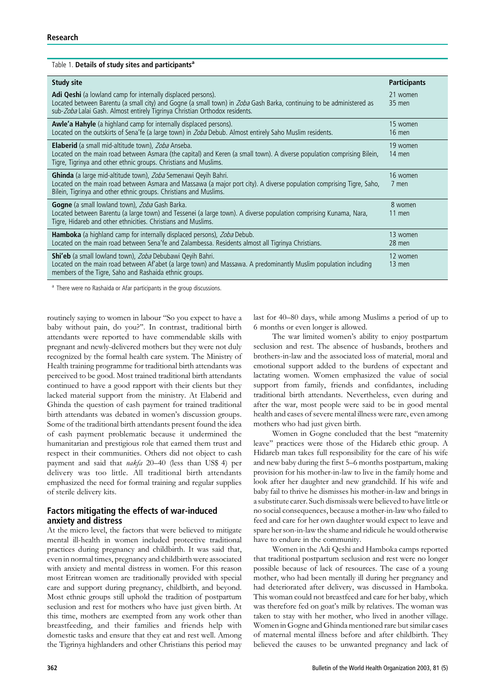| Table 1. Details of study sites and participants <sup>a</sup>                                                                                                                                                                                                       |                      |  |  |  |
|---------------------------------------------------------------------------------------------------------------------------------------------------------------------------------------------------------------------------------------------------------------------|----------------------|--|--|--|
| <b>Study site</b>                                                                                                                                                                                                                                                   | <b>Participants</b>  |  |  |  |
| Adi Qeshi (a lowland camp for internally displaced persons).<br>Located between Barentu (a small city) and Gogne (a small town) in Zoba Gash Barka, continuing to be administered as<br>sub-Zoba Lalai Gash. Almost entirely Tigrinya Christian Orthodox residents. | 21 women<br>35 men   |  |  |  |
| <b>Awle'a Hahyle</b> (a highland camp for internally displaced persons).<br>Located on the outskirts of Sena'fe (a large town) in Zoba Debub. Almost entirely Saho Muslim residents.                                                                                | 15 women<br>$16$ men |  |  |  |
| <b>Elaberid</b> (a small mid-altitude town), Zoba Anseba.<br>Located on the main road between Asmara (the capital) and Keren (a small town). A diverse population comprising Bilein,<br>Tigre, Tigrinya and other ethnic groups. Christians and Muslims.            | 19 women<br>14 men   |  |  |  |
| Ghinda (a large mid-altitude town), Zoba Semenawi Qeyih Bahri.<br>Located on the main road between Asmara and Massawa (a major port city). A diverse population comprising Tigre, Saho,<br>Bilein, Tigrinya and other ethnic groups. Christians and Muslims.        | 16 women<br>7 men    |  |  |  |
| Gogne (a small lowland town), Zoba Gash Barka.<br>Located between Barentu (a large town) and Tessenei (a large town). A diverse population comprising Kunama, Nara,<br>Tigre, Hidareb and other ethnicities. Christians and Muslims.                                | 8 women<br>11 men    |  |  |  |
| Hamboka (a highland camp for internally displaced persons), Zoba Debub.<br>Located on the main road between Sena'fe and Zalambessa. Residents almost all Tigrinya Christians.                                                                                       | 13 women<br>28 men   |  |  |  |
| Shi'eb (a small lowland town), Zoba Debubawi Qeyih Bahri.<br>Located on the main road between Af'abet (a large town) and Massawa. A predominantly Muslim population including<br>members of the Tigre, Saho and Rashaida ethnic groups.                             | 12 women<br>13 men   |  |  |  |

<sup>a</sup> There were no Rashaida or Afar participants in the group discussions.

routinely saying to women in labour ''So you expect to have a baby without pain, do you?''. In contrast, traditional birth attendants were reported to have commendable skills with pregnant and newly-delivered mothers but they were not duly recognized by the formal health care system. The Ministry of Health training programme for traditional birth attendants was perceived to be good. Most trained traditional birth attendants continued to have a good rapport with their clients but they lacked material support from the ministry. At Elaberid and Ghinda the question of cash payment for trained traditional birth attendants was debated in women's discussion groups. Some of the traditional birth attendants present found the idea of cash payment problematic because it undermined the humanitarian and prestigious role that earned them trust and respect in their communities. Others did not object to cash payment and said that nakfa 20–40 (less than US\$ 4) per delivery was too little. All traditional birth attendants emphasized the need for formal training and regular supplies of sterile delivery kits.

## Factors mitigating the effects of war-induced anxiety and distress

At the micro level, the factors that were believed to mitigate mental ill-health in women included protective traditional practices during pregnancy and childbirth. It was said that, even in normal times, pregnancy and childbirth were associated with anxiety and mental distress in women. For this reason most Eritrean women are traditionally provided with special care and support during pregnancy, childbirth, and beyond. Most ethnic groups still uphold the tradition of postpartum seclusion and rest for mothers who have just given birth. At this time, mothers are exempted from any work other than breastfeeding, and their families and friends help with domestic tasks and ensure that they eat and rest well. Among the Tigrinya highlanders and other Christians this period may last for 40–80 days, while among Muslims a period of up to 6 months or even longer is allowed.

The war limited women's ability to enjoy postpartum seclusion and rest. The absence of husbands, brothers and brothers-in-law and the associated loss of material, moral and emotional support added to the burdens of expectant and lactating women. Women emphasized the value of social support from family, friends and confidantes, including traditional birth attendants. Nevertheless, even during and after the war, most people were said to be in good mental health and cases of severe mental illness were rare, even among mothers who had just given birth.

Women in Gogne concluded that the best ''maternity leave'' practices were those of the Hidareb ethic group. A Hidareb man takes full responsibility for the care of his wife and new baby during the first 5–6 months postpartum, making provision for his mother-in-law to live in the family home and look after her daughter and new grandchild. If his wife and baby fail to thrive he dismisses his mother-in-law and brings in a substitute carer. Such dismissals were believed to have little or no social consequences, because a mother-in-law who failed to feed and care for her own daughter would expect to leave and spare her son-in-law the shame and ridicule he would otherwise have to endure in the community.

Women in the Adi Qeshi and Hamboka camps reported that traditional postpartum seclusion and rest were no longer possible because of lack of resources. The case of a young mother, who had been mentally ill during her pregnancy and had deteriorated after delivery, was discussed in Hamboka. This woman could not breastfeed and care for her baby, which was therefore fed on goat's milk by relatives. The woman was taken to stay with her mother, who lived in another village. Women in Gogne and Ghinda mentioned rare but similar cases of maternal mental illness before and after childbirth. They believed the causes to be unwanted pregnancy and lack of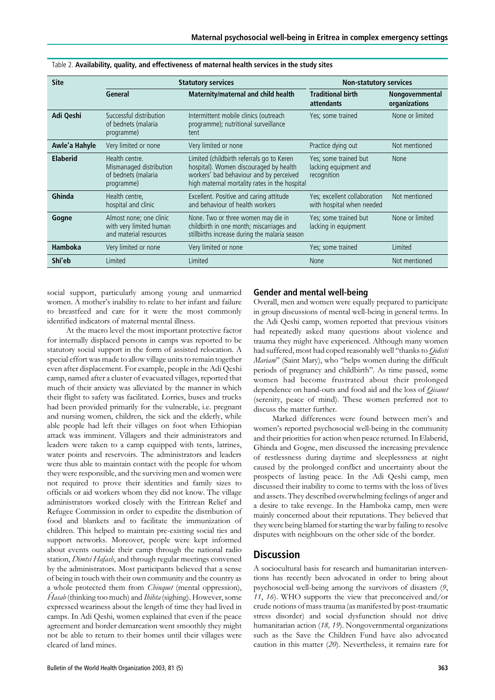| <b>Site</b>     | <b>Statutory services</b>                                                      |                                                                                                                                                                                 | <b>Non-statutory services</b>                                 |                                  |
|-----------------|--------------------------------------------------------------------------------|---------------------------------------------------------------------------------------------------------------------------------------------------------------------------------|---------------------------------------------------------------|----------------------------------|
|                 | General                                                                        | Maternity/maternal and child health                                                                                                                                             | <b>Traditional birth</b><br>attendants                        | Nongovernmental<br>organizations |
| Adi Qeshi       | Successful distribution<br>of bednets (malaria<br>programme)                   | Intermittent mobile clinics (outreach<br>programme); nutritional surveillance<br>tent                                                                                           | Yes; some trained                                             | None or limited                  |
| Awle'a Hahyle   | Very limited or none                                                           | Very limited or none                                                                                                                                                            | Practice dying out                                            | Not mentioned                    |
| <b>Elaberid</b> | Health centre.<br>Mismanaged distribution<br>of bednets (malaria<br>programme) | Limited (childbirth referrals go to Keren<br>hospital). Women discouraged by health<br>workers' bad behaviour and by perceived<br>high maternal mortality rates in the hospital | Yes; some trained but<br>lacking equipment and<br>recognition | <b>None</b>                      |
| Ghinda          | Health centre,<br>hospital and clinic                                          | Excellent. Positive and caring attitude<br>and behaviour of health workers                                                                                                      | Yes; excellent collaboration<br>with hospital when needed     | Not mentioned                    |
| Gogne           | Almost none; one clinic<br>with very limited human<br>and material resources   | None. Two or three women may die in<br>childbirth in one month; miscarriages and<br>stillbirths increase during the malaria season                                              | Yes; some trained but<br>lacking in equipment                 | None or limited                  |
| <b>Hamboka</b>  | Very limited or none                                                           | Very limited or none                                                                                                                                                            | Yes; some trained                                             | Limited                          |
| Shi'eb          | Limited                                                                        | Limited                                                                                                                                                                         | <b>None</b>                                                   | Not mentioned                    |

social support, particularly among young and unmarried women. A mother's inability to relate to her infant and failure to breastfeed and care for it were the most commonly identified indicators of maternal mental illness.

At the macro level the most important protective factor for internally displaced persons in camps was reported to be statutory social support in the form of assisted relocation. A special effort was made to allow village units to remain together even after displacement. For example, people in the Adi Qeshi camp, named after a cluster of evacuated villages, reported that much of their anxiety was alleviated by the manner in which their flight to safety was facilitated. Lorries, buses and trucks had been provided primarily for the vulnerable, i.e. pregnant and nursing women, children, the sick and the elderly, while able people had left their villages on foot when Ethiopian attack was imminent. Villagers and their administrators and leaders were taken to a camp equipped with tents, latrines, water points and reservoirs. The administrators and leaders were thus able to maintain contact with the people for whom they were responsible, and the surviving men and women were not required to prove their identities and family sizes to officials or aid workers whom they did not know. The village administrators worked closely with the Eritrean Relief and Refugee Commission in order to expedite the distribution of food and blankets and to facilitate the immunization of children. This helped to maintain pre-existing social ties and support networks. Moreover, people were kept informed about events outside their camp through the national radio station, *Dimtsi Hafash*, and through regular meetings convened by the administrators. Most participants believed that a sense of being in touch with their own community and the country as a whole protected them from *Chinquet* (mental oppression),  $\hat{H}$ asab (thinking too much) and  $\hat{I}$ hihta (sighing). However, some expressed weariness about the length of time they had lived in camps. In Adi Qeshi, women explained that even if the peace agreement and border demarcation went smoothly they might not be able to return to their homes until their villages were cleared of land mines.

## Gender and mental well-being

Overall, men and women were equally prepared to participate in group discussions of mental well-being in general terms. In the Adi Qeshi camp, women reported that previous visitors had repeatedly asked many questions about violence and trauma they might have experienced. Although many women had suffered, most had coped reasonably well "thanks to *Qidisti* Mariam'' (Saint Mary), who ''helps women during the difficult periods of pregnancy and childbirth''. As time passed, some women had become frustrated about their prolonged dependence on hand-outs and food aid and the loss of *Oisanet* (serenity, peace of mind). These women preferred not to discuss the matter further.

Marked differences were found between men's and women's reported psychosocial well-being in the community and their priorities for action when peace returned. In Elaberid, Ghinda and Gogne, men discussed the increasing prevalence of restlessness during daytime and sleeplessness at night caused by the prolonged conflict and uncertainty about the prospects of lasting peace. In the Adi Qeshi camp, men discussed their inability to come to terms with the loss of lives and assets. They described overwhelming feelings of anger and a desire to take revenge. In the Hamboka camp, men were mainly concerned about their reputations. They believed that they were being blamed for starting the war by failing to resolve disputes with neighbours on the other side of the border.

# **Discussion**

A sociocultural basis for research and humanitarian interventions has recently been advocated in order to bring about psychosocial well-being among the survivors of disasters (9, 11, 16). WHO supports the view that preconceived and/or crude notions of mass trauma (as manifested by post-traumatic stress disorder) and social dysfunction should not drive humanitarian action (18, 19). Nongovernmental organizations such as the Save the Children Fund have also advocated caution in this matter (20). Nevertheless, it remains rare for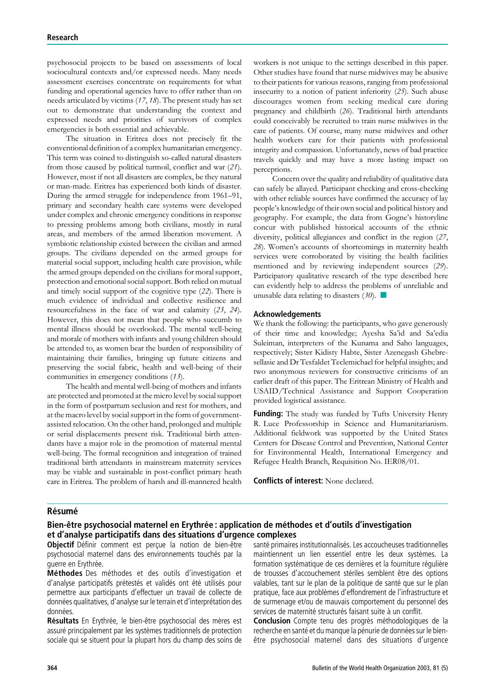psychosocial projects to be based on assessments of local sociocultural contexts and/or expressed needs. Many needs assessment exercises concentrate on requirements for what funding and operational agencies have to offer rather than on needs articulated by victims (17, 18). The present study has set out to demonstrate that understanding the context and expressed needs and priorities of survivors of complex emergencies is both essential and achievable.

The situation in Eritrea does not precisely fit the conventional definition of a complex humanitarian emergency. This term was coined to distinguish so-called natural disasters from those caused by political turmoil, conflict and war (21). However, most if not all disasters are complex, be they natural or man-made. Eritrea has experienced both kinds of disaster. During the armed struggle for independence from 1961–91, primary and secondary health care systems were developed under complex and chronic emergency conditions in response to pressing problems among both civilians, mostly in rural areas, and members of the armed liberation movement. A symbiotic relationship existed between the civilian and armed groups. The civilians depended on the armed groups for material social support, including health care provision, while the armed groups depended on the civilians for moral support, protection and emotional social support. Both relied on mutual and timely social support of the cognitive type (22). There is much evidence of individual and collective resilience and resourcefulness in the face of war and calamity (23, 24). However, this does not mean that people who succumb to mental illness should be overlooked. The mental well-being and morale of mothers with infants and young children should be attended to, as women bear the burden of responsibility of maintaining their families, bringing up future citizens and preserving the social fabric, health and well-being of their communities in emergency conditions (13).

The health and mental well-being of mothers and infants are protected and promoted at the micro level by social support in the form of postpartum seclusion and rest for mothers, and at the macro level by social support in the form of governmentassisted relocation. On the other hand, prolonged and multiple or serial displacements present risk. Traditional birth attendants have a major role in the promotion of maternal mental well-being. The formal recognition and integration of trained traditional birth attendants in mainstream maternity services may be viable and sustainable in post-conflict primary heath care in Eritrea. The problem of harsh and ill-mannered health

workers is not unique to the settings described in this paper. Other studies have found that nurse midwives may be abusive to their patients for various reasons, ranging from professional insecurity to a notion of patient inferiority (25). Such abuse discourages women from seeking medical care during pregnancy and childbirth (26). Traditional birth attendants could conceivably be recruited to train nurse midwives in the care of patients. Of course, many nurse midwives and other health workers care for their patients with professional integrity and compassion. Unfortunately, news of bad practice travels quickly and may have a more lasting impact on perceptions.

Concern over the quality and reliability of qualitative data can safely be allayed. Participant checking and cross-checking with other reliable sources have confirmed the accuracy of lay people's knowledge of their own social and political history and geography. For example, the data from Gogne's historyline concur with published historical accounts of the ethnic diversity, political allegiances and conflict in the region (27, 28). Women's accounts of shortcomings in maternity health services were corroborated by visiting the health facilities mentioned and by reviewing independent sources (29). Participatory qualitative research of the type described here can evidently help to address the problems of unreliable and unusable data relating to disasters (30). *n*

#### Acknowledgements

We thank the following: the participants, who gave generously of their time and knowledge; Ayesha Sa'id and Sa'edia Suleiman, interpreters of the Kunama and Saho languages, respectively; Sister Kidisty Habte, Sister Azenegash Ghebresellasie and Dr Tesfaldet Teclemichael for helpful insights; and two anonymous reviewers for constructive criticisms of an earlier draft of this paper. The Eritrean Ministry of Health and USAID/Technical Assistance and Support Cooperation provided logistical assistance.

Funding: The study was funded by Tufts University Henry R. Luce Professorship in Science and Humanitarianism. Additional fieldwork was supported by the United States Centers for Disease Control and Prevention, National Center for Environmental Health, International Emergency and Refugee Health Branch, Requisition No. IER08/01.

Conflicts of interest: None declared.

#### **Résumé**

### Bien-être psychosocial maternel en Erythrée : application de méthodes et d'outils d'investigation et d'analyse participatifs dans des situations d'urgence complexes

Objectif Définir comment est perçue la notion de bien-être psychosocial maternel dans des environnements touchés par la guerre en Erythrée.

Méthodes Des méthodes et des outils d'investigation et d'analyse participatifs prétestés et validés ont été utilisés pour permettre aux participants d'effectuer un travail de collecte de données qualitatives, d'analyse sur le terrain et d'interprétation des données.

Résultats En Erythrée, le bien-être psychosocial des mères est assuré principalement par les systèmes traditionnels de protection sociale qui se situent pour la plupart hors du champ des soins de santé primaires institutionnalisés. Les accoucheuses traditionnelles maintiennent un lien essentiel entre les deux systèmes. La formation systématique de ces dernières et la fourniture réqulière de trousses d'accouchement stériles semblent être des options valables, tant sur le plan de la politique de santé que sur le plan pratique, face aux problèmes d'effondrement de l'infrastructure et de surmenage et/ou de mauvais comportement du personnel des services de maternité structurés faisant suite à un conflit.

Conclusion Compte tenu des progrès méthodologiques de la recherche en santé et du manque la pénurie de données sur le bienêtre psychosocial maternel dans des situations d'urgence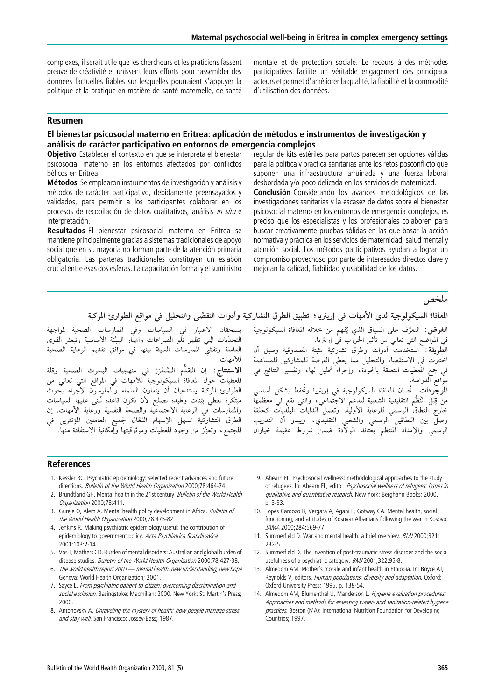complexes, il serait utile que les chercheurs et les praticiens fassent preuve de créativité et unissent leurs efforts pour rassembler des données factuelles fiables sur lesquelles pourraient s'appuyer la politique et la pratique en matière de santé maternelle, de santé

mentale et de protection sociale. Le recours à des méthodes participatives facilite un véritable engagement des principaux acteurs et permet d'améliorer la qualité, la fiabilité et la commodité d'utilisation des données.

#### Resumen

## El bienestar psicosocial materno en Eritrea: aplicación de métodos e instrumentos de investigación y análisis de carácter participativo en entornos de emergencia complejos

Objetivo Establecer el contexto en que se interpreta el bienestar psicosocial materno en los entornos afectados por conflictos bélicos en Eritrea.

Métodos Se emplearon instrumentos de investigación y análisis y métodos de carácter participativo, debidamente preensayados y validados, para permitir a los participantes colaborar en los procesos de recopilación de datos cualitativos, análisis in situ e interpretación.

Resultados El bienestar psicosocial materno en Eritrea se mantiene principalmente gracias a sistemas tradicionales de apoyo social que en su mayoría no forman parte de la atención primaria obligatoria. Las parteras tradicionales constituyen un eslabón crucial entre esas dos esferas. La capacitación formal y el suministro regular de kits estériles para partos parecen ser opciones válidas para la política y práctica sanitarias ante los retos posconflicto que suponen una infraestructura arruinada y una fuerza laboral desbordada y/o poco delicada en los servicios de maternidad.

Conclusión Considerando los avances metodológicos de las investigaciones sanitarias y la escasez de datos sobre el bienestar psicosocial materno en los entornos de emergencia complejos, es preciso que los especialistas y los profesionales colaboren para buscar creativamente pruebas sólidas en las que basar la acción normativa y práctica en los servicios de maternidad, salud mental y atención social. Los métodos participativos ayudan a lograr un compromiso provechoso por parte de interesados directos clave y mejoran la calidad, fiabilidad y usabilidad de los datos.

ملخص

المعافاة السيكولوجية لدى الأمهات في إريتريا؛ تطبيق الطرق التشاركية وأدوات التقصَّى والتحليل في مواقع الطوارئ المركبة

يستحقان الاعتبار في السياسات وفي الممارسات الصحية لمواجهة .<br>التحدِّيات التِي تظهر تلو الصرَّاعات وانهيار البـِنْيَة الأساسية وتُبعثر القوى العاملة وتفشيُّ الممارسات السيئة بينها في مرافق تقديم الرعاية الصحية للأمهات.

**الاستنتاج**: إن التقدَّم الـمُحْرَز في منهجيات البحوث الصحية وقلة المعطيات حولَ المعافاة السيكولوّجية للأمهاتٌ في المواقع التي تعاني من الطوارئ المركبة يستدعيان أن يتعاون العلماء والممارسون لإجراء بحوث مبتكرة تعطى بيِّنات وطيدة تصلح لأن تكون قاعدة تُبنى عليها السياسات والممارسات ْ في الرعاية الاجتماعيّة والصحة النفسية ورعاية الأمهات. إن الْطرقُ التشاركية تسهّل الإسهامُ الْفَعَّال لجميع العاملينُ المؤتْتِرين فَي المجتمع، وتعزُّز من وجود المعطيات وموثوقيتها وإمكانية الاستفادة منها. **الغرض:** التعرُّف على السياق الذي يُفهم من خلاله المعافاة السيكولوجية في المواضع التي تعاني من تأثير الحروب في إريتريا. الطَّويقة: ۖ استخدمت ۚ أدوات ۖ وطرق تشاركية ۖ مثبتة ۖ المصدوقية ۖ وسبق ۚ أن اختبرت في الاستقصاء والتحليل مما يعطى الفرصة للمشاركين للمساهمة

. متبرت عي مستنصف ريت مين منه يتسي معرف مستنصر مين مستند منه.<br>في جمع المعطيات المتعلقة بالجودة، وإجراء تحليل لها، وتفسير النتائج في مواقع الدراسة.

**الموجودات**: تُصان المعافاة السيكولوجية في إريتريا وتُحفظ بشكل أساسي سو بوتات . كلمات المناده السينونوجية في إريبريا وحفظ بسائل المناسي.<br>من قِبَلِ النُظُمِ التقليدية الشعبية للدعمِ الاجتماعي، والتي تقع في معظمها خاَّرج النطاق الرسمي للرعاية الأوليَّة. وتعمل الدايات البلديات كحلقة وصلَّ بين النطاقين الرسمي والشعبي التقليدي، ويبدو أن التدريب الرسمي والإمداد المنتظم بعتائد الولادة ضمن شروط عقيمة خياران

#### References

- 1. Kessler RC. Psychiatric epidemiology: selected recent advances and future directions. Bulletin of the World Health Organization 2000;78:464-74.
- 2. Brundtland GH. Mental health in the 21st century. Bulletin of the World Health Organization 2000;78:411.
- 3. Gureje O, Alem A. Mental health policy development in Africa. Bulletin of the World Health Organization 2000;78:475-82.
- 4. Jenkins R. Making psychiatric epidemiology useful: the contribution of epidemiology to government policy. Acta Psychiatrica Scandinavica 2001;103:2-14.
- 5. Vos T, Mathers CD. Burden of mental disorders: Australian and global burden of disease studies. Bulletin of the World Health Organization 2000:78:427-38.
- 6. The world health report 2001—mental health: new understanding, new hope Geneva: World Health Organization; 2001.
- 7. Sayce L. From psychiatric patient to citizen: overcoming discrimination and social exclusion. Basingstoke: Macmillan; 2000. New York: St. Martin's Press; 2000.
- 8. Antonovsky A. Unraveling the mystery of health: how people manage stress and stay well. San Francisco: Jossey-Bass; 1987.
- 9. Ahearn FL. Psychosocial wellness: methodological approaches to the study of refugees. In: Ahearn FL, editor. Psychosocial wellness of refugees: issues in qualitative and quantitative research. New York: Berghahn Books; 2000. p. 3-33.
- 10. Lopes Cardozo B, Vergara A, Agani F, Gotway CA. Mental health, social functioning, and attitudes of Kosovar Albanians following the war in Kosovo. JAMA 2000;284:569-77.
- 11. Summerfield D. War and mental health: a brief overview. BMJ 2000;321: 232-5.
- 12. Summerfield D. The invention of post-traumatic stress disorder and the social usefulness of a psychiatric category. BMJ 2001;322:95-8.
- 13. Almedom AM. Mother's morale and infant health in Ethiopia. In: Boyce AJ, Reynolds V, editors. Human populations: diversity and adaptation. Oxford: Oxford University Press; 1995. p. 138-54.
- 14. Almedom AM, Blumenthal U, Manderson L. Hygiene evaluation procedures: Approaches and methods for assessing water- and sanitation-related hygiene practices. Boston (MA): International Nutrition Foundation for Developing Countries; 1997.